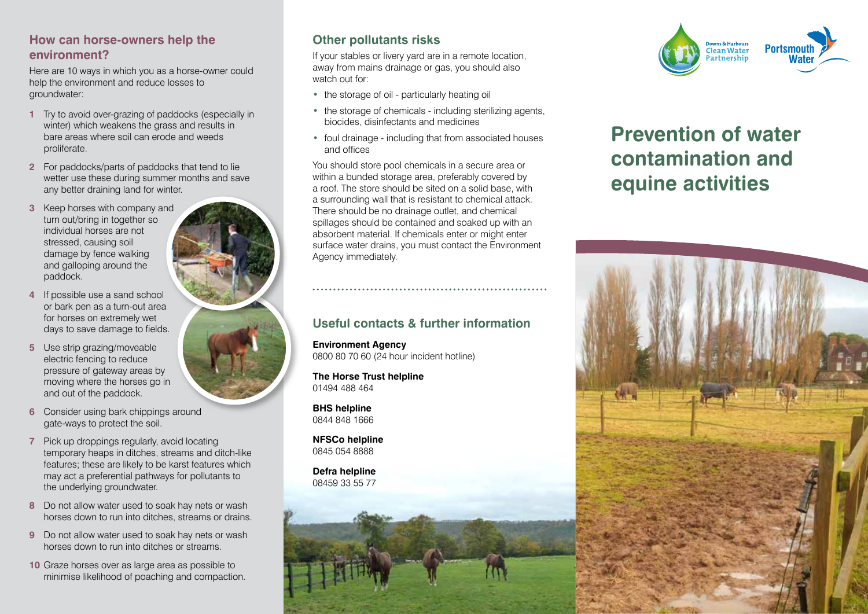#### **How can horse-owners help the environment?**

Here are 10 ways in which you as a horse-owner could help the environment and reduce losses to groundwater:

- **1** Try to avoid over-grazing of paddocks (especially in winter) which weakens the grass and results in bare areas where soil can erode and weeds proliferate.
- **2** For paddocks/parts of paddocks that tend to lie wetter use these during summer months and save any better draining land for winter.
- **3** Keep horses with company and turn out/bring in together so individual horses are not stressed, causing soil damage by fence walking and galloping around the paddock.
- **4** If possible use a sand school or bark pen as a turn-out area for horses on extremely wet days to save damage to fields.
- **5** Use strip grazing/moveable electric fencing to reduce pressure of gateway areas by moving where the horses go in and out of the paddock.
- **6** Consider using bark chippings around gate-ways to protect the soil.
- **7** Pick up droppings regularly, avoid locating temporary heaps in ditches, streams and ditch-like features; these are likely to be karst features which may act a preferential pathways for pollutants to the underlying groundwater.
- **8** Do not allow water used to soak hay nets or wash horses down to run into ditches, streams or drains.
- **9** Do not allow water used to soak hay nets or wash horses down to run into ditches or streams.
- **10** Graze horses over as large area as possible to minimise likelihood of poaching and compaction.

# **Other pollutants risks**

If your stables or livery yard are in a remote location, away from mains drainage or gas, you should also watch out for:

- **•** the storage of oil particularly heating oil
- **•** the storage of chemicals including sterilizing agents, biocides, disinfectants and medicines
- **•** foul drainage including that from associated houses and offices

You should store pool chemicals in a secure area or within a bunded storage area, preferably covered by a roof. The store should be sited on a solid base, with a surrounding wall that is resistant to chemical attack. There should be no drainage outlet, and chemical spillages should be contained and soaked up with an absorbent material. If chemicals enter or might enter surface water drains, you must contact the Environment Agency immediately.

#### **Useful contacts & further information**

**Environment Agency** 0800 80 70 60 (24 hour incident hotline)

**The Horse Trust helpline** 01494 488 464

**BHS helpline** 0844 848 1666

**NFSCo helpline** 0845 054 8888

**Defra helpline** 08459 33 55 77



# **Prevention of water contamination and equine activities**